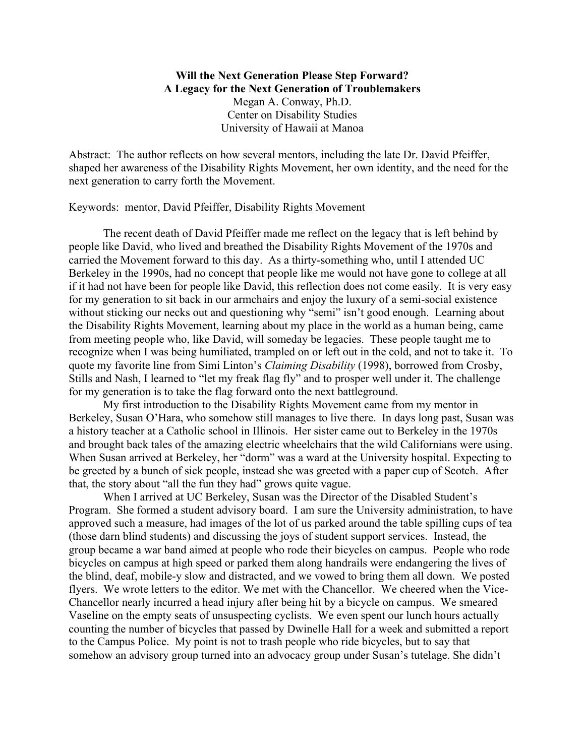**Will the Next Generation Please Step Forward? A Legacy for the Next Generation of Troublemakers** Megan A. Conway, Ph.D. Center on Disability Studies University of Hawaii at Manoa

Abstract: The author reflects on how several mentors, including the late Dr. David Pfeiffer, shaped her awareness of the Disability Rights Movement, her own identity, and the need for the next generation to carry forth the Movement.

Keywords: mentor, David Pfeiffer, Disability Rights Movement

The recent death of David Pfeiffer made me reflect on the legacy that is left behind by people like David, who lived and breathed the Disability Rights Movement of the 1970s and carried the Movement forward to this day. As a thirty-something who, until I attended UC Berkeley in the 1990s, had no concept that people like me would not have gone to college at all if it had not have been for people like David, this reflection does not come easily. It is very easy for my generation to sit back in our armchairs and enjoy the luxury of a semi-social existence without sticking our necks out and questioning why "semi" isn't good enough. Learning about the Disability Rights Movement, learning about my place in the world as a human being, came from meeting people who, like David, will someday be legacies. These people taught me to recognize when I was being humiliated, trampled on or left out in the cold, and not to take it. To quote my favorite line from Simi Linton's *Claiming Disability* (1998), borrowed from Crosby, Stills and Nash, I learned to "let my freak flag fly" and to prosper well under it. The challenge for my generation is to take the flag forward onto the next battleground.

My first introduction to the Disability Rights Movement came from my mentor in Berkeley, Susan O'Hara, who somehow still manages to live there. In days long past, Susan was a history teacher at a Catholic school in Illinois. Her sister came out to Berkeley in the 1970s and brought back tales of the amazing electric wheelchairs that the wild Californians were using. When Susan arrived at Berkeley, her "dorm" was a ward at the University hospital. Expecting to be greeted by a bunch of sick people, instead she was greeted with a paper cup of Scotch. After that, the story about "all the fun they had" grows quite vague.

When I arrived at UC Berkeley, Susan was the Director of the Disabled Student's Program. She formed a student advisory board. I am sure the University administration, to have approved such a measure, had images of the lot of us parked around the table spilling cups of tea (those darn blind students) and discussing the joys of student support services. Instead, the group became a war band aimed at people who rode their bicycles on campus. People who rode bicycles on campus at high speed or parked them along handrails were endangering the lives of the blind, deaf, mobile-y slow and distracted, and we vowed to bring them all down. We posted flyers. We wrote letters to the editor. We met with the Chancellor. We cheered when the Vice-Chancellor nearly incurred a head injury after being hit by a bicycle on campus. We smeared Vaseline on the empty seats of unsuspecting cyclists. We even spent our lunch hours actually counting the number of bicycles that passed by Dwinelle Hall for a week and submitted a report to the Campus Police. My point is not to trash people who ride bicycles, but to say that somehow an advisory group turned into an advocacy group under Susan's tutelage. She didn't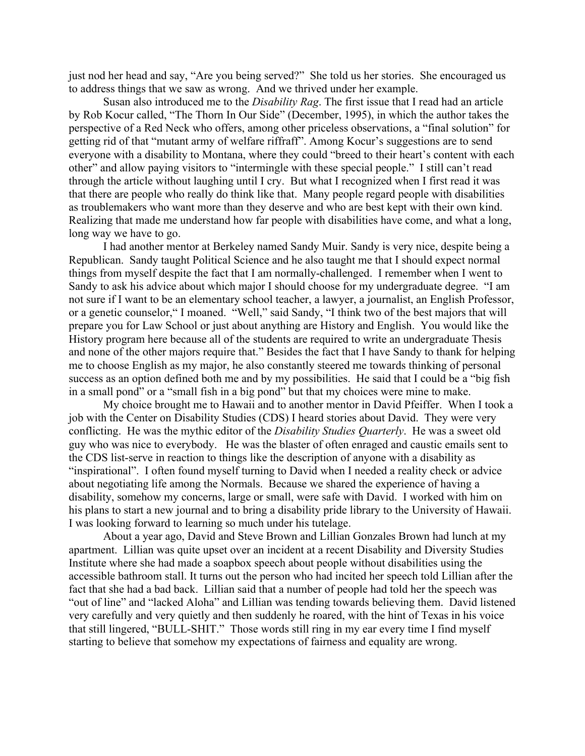just nod her head and say, "Are you being served?" She told us her stories. She encouraged us to address things that we saw as wrong. And we thrived under her example.

Susan also introduced me to the *Disability Rag*. The first issue that I read had an article by Rob Kocur called, "The Thorn In Our Side" (December, 1995), in which the author takes the perspective of a Red Neck who offers, among other priceless observations, a "final solution" for getting rid of that "mutant army of welfare riffraff". Among Kocur's suggestions are to send everyone with a disability to Montana, where they could "breed to their heart's content with each other" and allow paying visitors to "intermingle with these special people." I still can't read through the article without laughing until I cry. But what I recognized when I first read it was that there are people who really do think like that. Many people regard people with disabilities as troublemakers who want more than they deserve and who are best kept with their own kind. Realizing that made me understand how far people with disabilities have come, and what a long, long way we have to go.

I had another mentor at Berkeley named Sandy Muir. Sandy is very nice, despite being a Republican. Sandy taught Political Science and he also taught me that I should expect normal things from myself despite the fact that I am normally-challenged. I remember when I went to Sandy to ask his advice about which major I should choose for my undergraduate degree. "I am not sure if I want to be an elementary school teacher, a lawyer, a journalist, an English Professor, or a genetic counselor," I moaned. "Well," said Sandy, "I think two of the best majors that will prepare you for Law School or just about anything are History and English. You would like the History program here because all of the students are required to write an undergraduate Thesis and none of the other majors require that." Besides the fact that I have Sandy to thank for helping me to choose English as my major, he also constantly steered me towards thinking of personal success as an option defined both me and by my possibilities. He said that I could be a "big fish in a small pond" or a "small fish in a big pond" but that my choices were mine to make.

My choice brought me to Hawaii and to another mentor in David Pfeiffer. When I took a job with the Center on Disability Studies (CDS) I heard stories about David. They were very conflicting. He was the mythic editor of the *Disability Studies Quarterly*. He was a sweet old guy who was nice to everybody. He was the blaster of often enraged and caustic emails sent to the CDS list-serve in reaction to things like the description of anyone with a disability as "inspirational". I often found myself turning to David when I needed a reality check or advice about negotiating life among the Normals. Because we shared the experience of having a disability, somehow my concerns, large or small, were safe with David. I worked with him on his plans to start a new journal and to bring a disability pride library to the University of Hawaii. I was looking forward to learning so much under his tutelage.

About a year ago, David and Steve Brown and Lillian Gonzales Brown had lunch at my apartment. Lillian was quite upset over an incident at a recent Disability and Diversity Studies Institute where she had made a soapbox speech about people without disabilities using the accessible bathroom stall. It turns out the person who had incited her speech told Lillian after the fact that she had a bad back. Lillian said that a number of people had told her the speech was "out of line" and "lacked Aloha" and Lillian was tending towards believing them. David listened very carefully and very quietly and then suddenly he roared, with the hint of Texas in his voice that still lingered, "BULL-SHIT." Those words still ring in my ear every time I find myself starting to believe that somehow my expectations of fairness and equality are wrong.